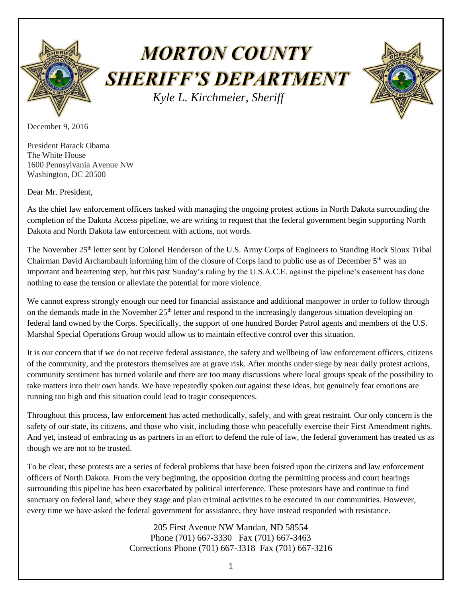

## **MORTON COUNTY SHERIFF'S DEPARTMENT**  *Kyle L. Kirchmeier, Sheriff*



December 9, 2016

President Barack Obama The White House 1600 Pennsylvania Avenue NW Washington, DC 20500

Dear Mr. President,

As the chief law enforcement officers tasked with managing the ongoing protest actions in North Dakota surrounding the completion of the Dakota Access pipeline, we are writing to request that the federal government begin supporting North Dakota and North Dakota law enforcement with actions, not words.

The November 25th letter sent by Colonel Henderson of the U.S. Army Corps of Engineers to Standing Rock Sioux Tribal Chairman David Archambault informing him of the closure of Corps land to public use as of December 5th was an important and heartening step, but this past Sunday's ruling by the U.S.A.C.E. against the pipeline's easement has done nothing to ease the tension or alleviate the potential for more violence.

We cannot express strongly enough our need for financial assistance and additional manpower in order to follow through on the demands made in the November 25<sup>th</sup> letter and respond to the increasingly dangerous situation developing on federal land owned by the Corps. Specifically, the support of one hundred Border Patrol agents and members of the U.S. Marshal Special Operations Group would allow us to maintain effective control over this situation.

It is our concern that if we do not receive federal assistance, the safety and wellbeing of law enforcement officers, citizens of the community, and the protestors themselves are at grave risk. After months under siege by near daily protest actions, community sentiment has turned volatile and there are too many discussions where local groups speak of the possibility to take matters into their own hands. We have repeatedly spoken out against these ideas, but genuinely fear emotions are running too high and this situation could lead to tragic consequences.

Throughout this process, law enforcement has acted methodically, safely, and with great restraint. Our only concern is the safety of our state, its citizens, and those who visit, including those who peacefully exercise their First Amendment rights. And yet, instead of embracing us as partners in an effort to defend the rule of law, the federal government has treated us as though we are not to be trusted.

To be clear, these protests are a series of federal problems that have been foisted upon the citizens and law enforcement officers of North Dakota. From the very beginning, the opposition during the permitting process and court hearings surrounding this pipeline has been exacerbated by political interference. These protestors have and continue to find sanctuary on federal land, where they stage and plan criminal activities to be executed in our communities. However, every time we have asked the federal government for assistance, they have instead responded with resistance.

> 205 First Avenue NW Mandan, ND 58554 Phone (701) 667-3330 Fax (701) 667-3463 Corrections Phone (701) 667-3318 Fax (701) 667-3216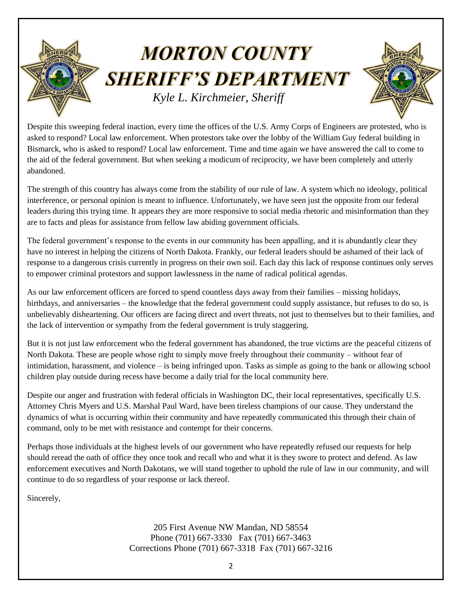## **MORTON COUNTY SHERIFF'S DEPARTMENT**  *Kyle L. Kirchmeier, Sheriff*

Despite this sweeping federal inaction, every time the offices of the U.S. Army Corps of Engineers are protested, who is asked to respond? Local law enforcement. When protestors take over the lobby of the William Guy federal building in Bismarck, who is asked to respond? Local law enforcement. Time and time again we have answered the call to come to the aid of the federal government. But when seeking a modicum of reciprocity, we have been completely and utterly abandoned.

The strength of this country has always come from the stability of our rule of law. A system which no ideology, political interference, or personal opinion is meant to influence. Unfortunately, we have seen just the opposite from our federal leaders during this trying time. It appears they are more responsive to social media rhetoric and misinformation than they are to facts and pleas for assistance from fellow law abiding government officials.

The federal government's response to the events in our community has been appalling, and it is abundantly clear they have no interest in helping the citizens of North Dakota. Frankly, our federal leaders should be ashamed of their lack of response to a dangerous crisis currently in progress on their own soil. Each day this lack of response continues only serves to empower criminal protestors and support lawlessness in the name of radical political agendas.

As our law enforcement officers are forced to spend countless days away from their families – missing holidays, birthdays, and anniversaries – the knowledge that the federal government could supply assistance, but refuses to do so, is unbelievably disheartening. Our officers are facing direct and overt threats, not just to themselves but to their families, and the lack of intervention or sympathy from the federal government is truly staggering.

But it is not just law enforcement who the federal government has abandoned, the true victims are the peaceful citizens of North Dakota. These are people whose right to simply move freely throughout their community – without fear of intimidation, harassment, and violence – is being infringed upon. Tasks as simple as going to the bank or allowing school children play outside during recess have become a daily trial for the local community here.

Despite our anger and frustration with federal officials in Washington DC, their local representatives, specifically U.S. Attorney Chris Myers and U.S. Marshal Paul Ward, have been tireless champions of our cause. They understand the dynamics of what is occurring within their community and have repeatedly communicated this through their chain of command, only to be met with resistance and contempt for their concerns.

Perhaps those individuals at the highest levels of our government who have repeatedly refused our requests for help should reread the oath of office they once took and recall who and what it is they swore to protect and defend. As law enforcement executives and North Dakotans, we will stand together to uphold the rule of law in our community, and will continue to do so regardless of your response or lack thereof.

Sincerely,

205 First Avenue NW Mandan, ND 58554 Phone (701) 667-3330 Fax (701) 667-3463 Corrections Phone (701) 667-3318 Fax (701) 667-3216